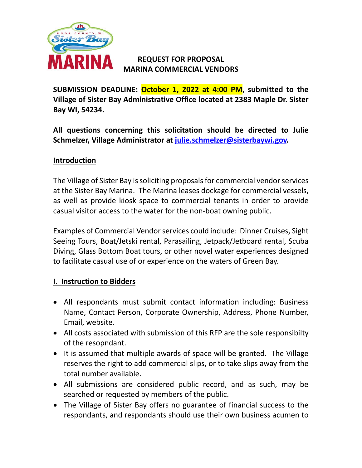

# **REQUEST FOR PROPOSAL MARINA COMMERCIAL VENDORS**

**SUBMISSION DEADLINE: October 1, 2022 at 4:00 PM, submitted to the Village of Sister Bay Administrative Office located at 2383 Maple Dr. Sister Bay WI, 54234.**

**All questions concerning this solicitation should be directed to Julie Schmelzer, Village Administrator at [julie.schmelzer@sisterbaywi.gov.](mailto:julie.schmelzer@sisterbaywi.gov)** 

## **Introduction**

The Village of Sister Bay is soliciting proposalsfor commercial vendor services at the Sister Bay Marina. The Marina leases dockage for commercial vessels, as well as provide kiosk space to commercial tenants in order to provide casual visitor access to the water for the non-boat owning public.

Examples of Commercial Vendor services could include: Dinner Cruises, Sight Seeing Tours, Boat/Jetski rental, Parasailing, Jetpack/Jetboard rental, Scuba Diving, Glass Bottom Boat tours, or other novel water experiences designed to facilitate casual use of or experience on the waters of Green Bay.

## **I. Instruction to Bidders**

- All respondants must submit contact information including: Business Name, Contact Person, Corporate Ownership, Address, Phone Number, Email, website.
- All costs associated with submission of this RFP are the sole responsibilty of the resopndant.
- It is assumed that multiple awards of space will be granted. The Village reserves the right to add commercial slips, or to take slips away from the total number available.
- All submissions are considered public record, and as such, may be searched or requested by members of the public.
- The Village of Sister Bay offers no guarantee of financial success to the respondants, and respondants should use their own business acumen to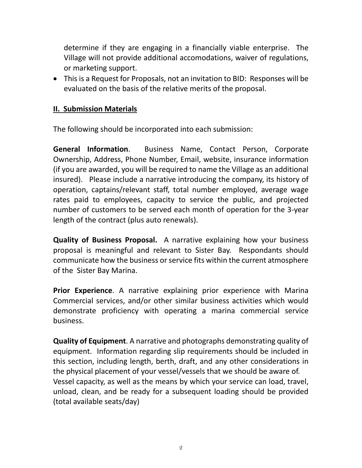determine if they are engaging in a financially viable enterprise. The Village will not provide additional accomodations, waiver of regulations, or marketing support.

• This is a Request for Proposals, not an invitation to BID: Responses will be evaluated on the basis of the relative merits of the proposal.

## **II. Submission Materials**

The following should be incorporated into each submission:

**General Information**. Business Name, Contact Person, Corporate Ownership, Address, Phone Number, Email, website, insurance information (if you are awarded, you will be required to name the Village as an additional insured). Please include a narrative introducing the company, its history of operation, captains/relevant staff, total number employed, average wage rates paid to employees, capacity to service the public, and projected number of customers to be served each month of operation for the 3-year length of the contract (plus auto renewals).

**Quality of Business Proposal.** A narrative explaining how your business proposal is meaningful and relevant to Sister Bay. Respondants should communicate how the business or service fits within the current atmosphere of the Sister Bay Marina.

**Prior Experience**. A narrative explaining prior experience with Marina Commercial services, and/or other similar business activities which would demonstrate proficiency with operating a marina commercial service business.

**Quality of Equipment**. A narrative and photographs demonstrating quality of equipment. Information regarding slip requirements should be included in this section, including length, berth, draft, and any other considerations in the physical placement of your vessel/vessels that we should be aware of. Vessel capacity, as well as the means by which your service can load, travel, unload, clean, and be ready for a subsequent loading should be provided (total available seats/day)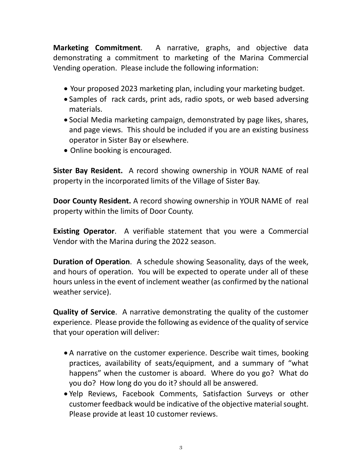**Marketing Commitment**. A narrative, graphs, and objective data demonstrating a commitment to marketing of the Marina Commercial Vending operation. Please include the following information:

- Your proposed 2023 marketing plan, including your marketing budget.
- Samples of rack cards, print ads, radio spots, or web based adversing materials.
- Social Media marketing campaign, demonstrated by page likes, shares, and page views. This should be included if you are an existing business operator in Sister Bay or elsewhere.
- Online booking is encouraged.

**Sister Bay Resident.** A record showing ownership in YOUR NAME of real property in the incorporated limits of the Village of Sister Bay.

**Door County Resident.** A record showing ownership in YOUR NAME of real property within the limits of Door County.

**Existing Operator**. A verifiable statement that you were a Commercial Vendor with the Marina during the 2022 season.

**Duration of Operation**. A schedule showing Seasonality, days of the week, and hours of operation. You will be expected to operate under all of these hours unless in the event of inclement weather (as confirmed by the national weather service).

**Quality of Service**. A narrative demonstrating the quality of the customer experience. Please provide the following as evidence of the quality of service that your operation will deliver:

- A narrative on the customer experience. Describe wait times, booking practices, availability of seats/equipment, and a summary of "what happens" when the customer is aboard. Where do you go? What do you do? How long do you do it? should all be answered.
- Yelp Reviews, Facebook Comments, Satisfaction Surveys or other customer feedback would be indicative of the objective material sought. Please provide at least 10 customer reviews.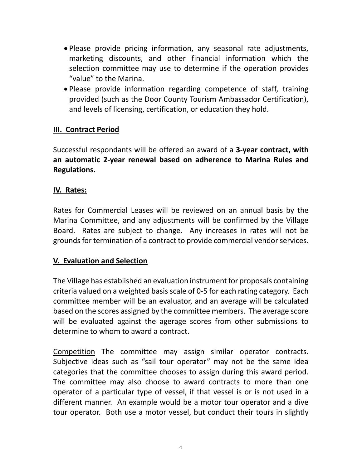- Please provide pricing information, any seasonal rate adjustments, marketing discounts, and other financial information which the selection committee may use to determine if the operation provides "value" to the Marina.
- Please provide information regarding competence of staff, training provided (such as the Door County Tourism Ambassador Certification), and levels of licensing, certification, or education they hold.

## **III. Contract Period**

Successful respondants will be offered an award of a **3-year contract, with an automatic 2-year renewal based on adherence to Marina Rules and Regulations.**

#### **IV. Rates:**

Rates for Commercial Leases will be reviewed on an annual basis by the Marina Committee, and any adjustments will be confirmed by the Village Board. Rates are subject to change. Any increases in rates will not be grounds for termination of a contract to provide commercial vendor services.

## **V. Evaluation and Selection**

The Village has established an evaluation instrument for proposals containing criteria valued on a weighted basis scale of 0-5 for each rating category. Each committee member will be an evaluator, and an average will be calculated based on the scores assigned by the committee members. The average score will be evaluated against the agerage scores from other submissions to determine to whom to award a contract.

Competition The committee may assign similar operator contracts. Subjective ideas such as "sail tour operator" may not be the same idea categories that the committee chooses to assign during this award period. The committee may also choose to award contracts to more than one operator of a particular type of vessel, if that vessel is or is not used in a different manner. An example would be a motor tour operator and a dive tour operator. Both use a motor vessel, but conduct their tours in slightly